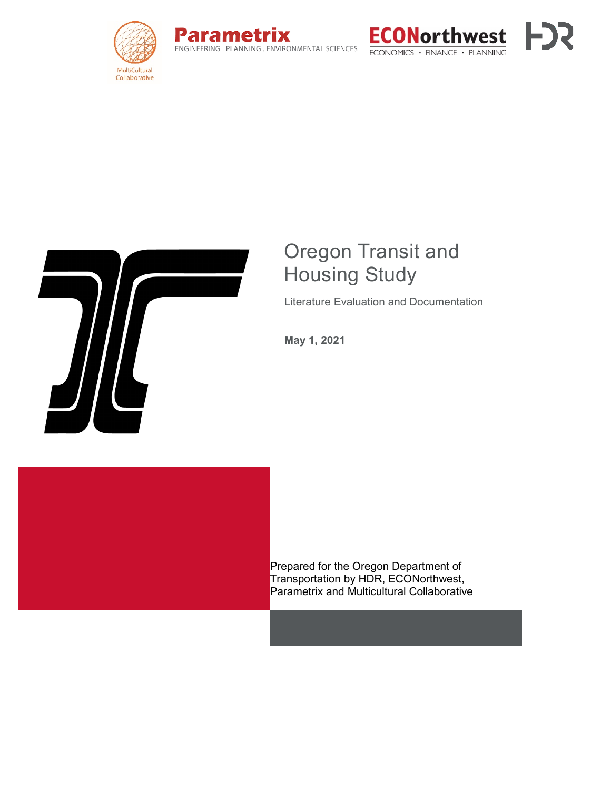







# Oregon Transit and Housing Study

Literature Evaluation and Documentation

**May 1, 2021**



Prepared for the Oregon Department of Transportation by HDR, ECONorthwest, Parametrix and Multicultural Collaborative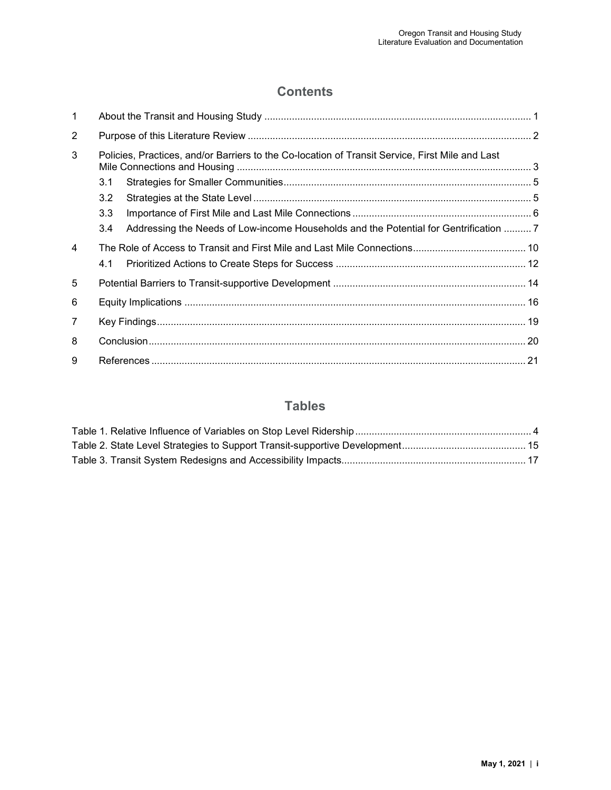## **Contents**

| $\mathbf{1}$ |                                                                                                 |                                                                                       |  |  |
|--------------|-------------------------------------------------------------------------------------------------|---------------------------------------------------------------------------------------|--|--|
| 2            |                                                                                                 |                                                                                       |  |  |
| 3            | Policies, Practices, and/or Barriers to the Co-location of Transit Service, First Mile and Last |                                                                                       |  |  |
|              | 3.1                                                                                             |                                                                                       |  |  |
|              | 3.2                                                                                             |                                                                                       |  |  |
|              | 3.3                                                                                             |                                                                                       |  |  |
|              | 3.4                                                                                             | Addressing the Needs of Low-income Households and the Potential for Gentrification  7 |  |  |
| 4            |                                                                                                 |                                                                                       |  |  |
|              | 4.1                                                                                             |                                                                                       |  |  |
| 5            |                                                                                                 |                                                                                       |  |  |
| 6            |                                                                                                 |                                                                                       |  |  |
| 7            |                                                                                                 |                                                                                       |  |  |
| 8            |                                                                                                 |                                                                                       |  |  |
| 9            |                                                                                                 |                                                                                       |  |  |

## **Tables**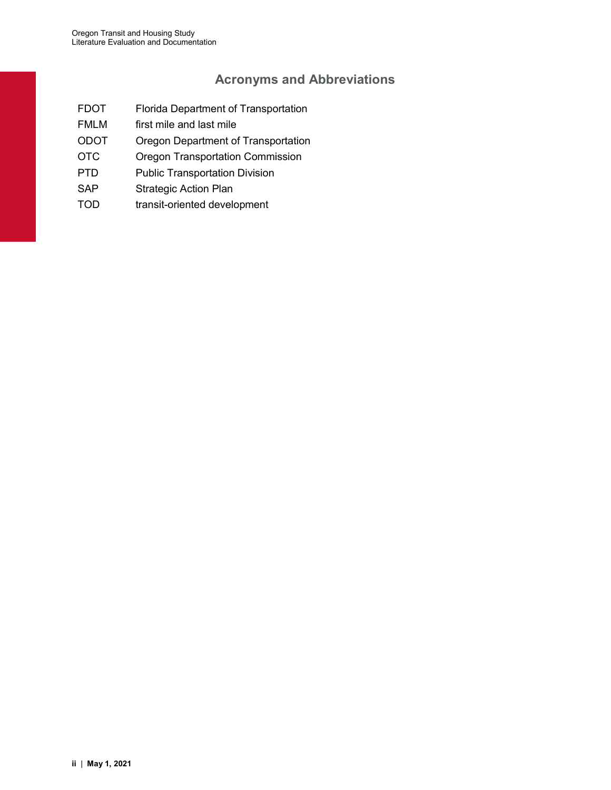## **Acronyms and Abbreviations**

- FDOT Florida Department of Transportation
- FMLM first mile and last mile
- ODOT Oregon Department of Transportation
- OTC Oregon Transportation Commission
- PTD Public Transportation Division
- SAP Strategic Action Plan
- TOD transit-oriented development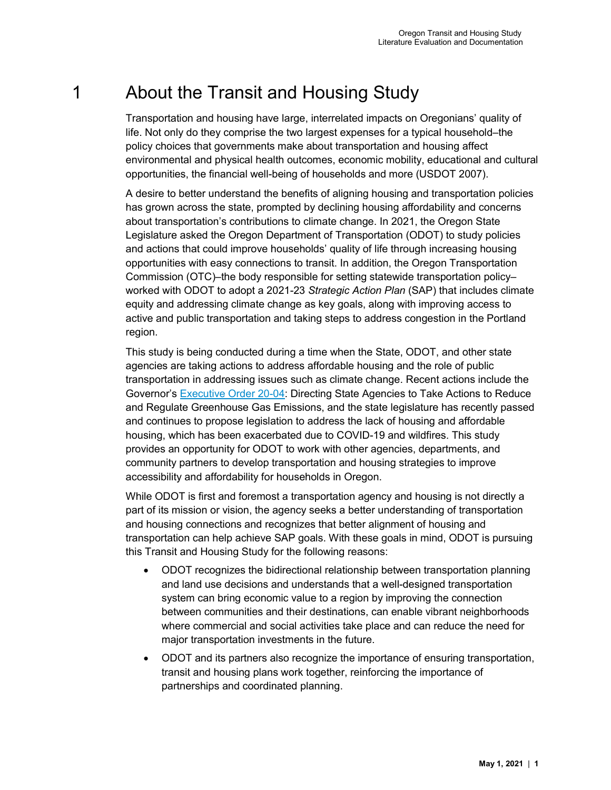# <span id="page-4-0"></span>1 About the Transit and Housing Study

Transportation and housing have large, interrelated impacts on Oregonians' quality of life. Not only do they comprise the two largest expenses for a typical household–the policy choices that governments make about transportation and housing affect environmental and physical health outcomes, economic mobility, educational and cultural opportunities, the financial well-being of households and more (USDOT 2007).

A desire to better understand the benefits of aligning housing and transportation policies has grown across the state, prompted by declining housing affordability and concerns about transportation's contributions to climate change. In 2021, the Oregon State Legislature asked the Oregon Department of Transportation (ODOT) to study policies and actions that could improve households' quality of life through increasing housing opportunities with easy connections to transit. In addition, the Oregon Transportation Commission (OTC)–the body responsible for setting statewide transportation policy– worked with ODOT to adopt a 2021-23 *Strategic Action Plan* (SAP) that includes climate equity and addressing climate change as key goals, along with improving access to active and public transportation and taking steps to address congestion in the Portland region.

This study is being conducted during a time when the State, ODOT, and other state agencies are taking actions to address affordable housing and the role of public transportation in addressing issues such as climate change. Recent actions include the Governor's [Executive Order 20-04:](https://www.oregon.gov/gov/Documents/executive_orders/eo_20-04.pdf) Directing State Agencies to Take Actions to Reduce and Regulate Greenhouse Gas Emissions, and the state legislature has recently passed and continues to propose legislation to address the lack of housing and affordable housing, which has been exacerbated due to COVID-19 and wildfires. This study provides an opportunity for ODOT to work with other agencies, departments, and community partners to develop transportation and housing strategies to improve accessibility and affordability for households in Oregon.

While ODOT is first and foremost a transportation agency and housing is not directly a part of its mission or vision, the agency seeks a better understanding of transportation and housing connections and recognizes that better alignment of housing and transportation can help achieve SAP goals. With these goals in mind, ODOT is pursuing this Transit and Housing Study for the following reasons:

- ODOT recognizes the bidirectional relationship between transportation planning and land use decisions and understands that a well-designed transportation system can bring economic value to a region by improving the connection between communities and their destinations, can enable vibrant neighborhoods where commercial and social activities take place and can reduce the need for major transportation investments in the future.
- ODOT and its partners also recognize the importance of ensuring transportation, transit and housing plans work together, reinforcing the importance of partnerships and coordinated planning.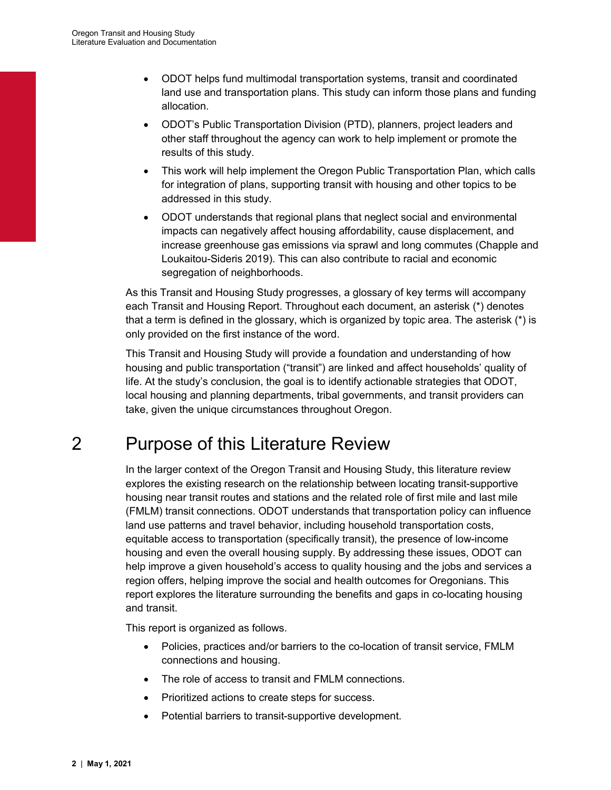- ODOT helps fund multimodal transportation systems, transit and coordinated land use and transportation plans. This study can inform those plans and funding allocation.
- ODOT's Public Transportation Division (PTD), planners, project leaders and other staff throughout the agency can work to help implement or promote the results of this study.
- This work will help implement the Oregon Public Transportation Plan, which calls for integration of plans, supporting transit with housing and other topics to be addressed in this study.
- ODOT understands that regional plans that neglect social and environmental impacts can negatively affect housing affordability, cause displacement, and increase greenhouse gas emissions via sprawl and long commutes (Chapple and Loukaitou-Sideris 2019). This can also contribute to racial and economic segregation of neighborhoods.

As this Transit and Housing Study progresses, a glossary of key terms will accompany each Transit and Housing Report. Throughout each document, an asterisk (\*) denotes that a term is defined in the glossary, which is organized by topic area. The asterisk (\*) is only provided on the first instance of the word.

This Transit and Housing Study will provide a foundation and understanding of how housing and public transportation ("transit") are linked and affect households' quality of life. At the study's conclusion, the goal is to identify actionable strategies that ODOT, local housing and planning departments, tribal governments, and transit providers can take, given the unique circumstances throughout Oregon.

# <span id="page-5-0"></span>2 Purpose of this Literature Review

In the larger context of the Oregon Transit and Housing Study, this literature review explores the existing research on the relationship between locating transit-supportive housing near transit routes and stations and the related role of first mile and last mile (FMLM) transit connections. ODOT understands that transportation policy can influence land use patterns and travel behavior, including household transportation costs, equitable access to transportation (specifically transit), the presence of low-income housing and even the overall housing supply. By addressing these issues, ODOT can help improve a given household's access to quality housing and the jobs and services a region offers, helping improve the social and health outcomes for Oregonians. This report explores the literature surrounding the benefits and gaps in co-locating housing and transit.

This report is organized as follows.

- Policies, practices and/or barriers to the co-location of transit service, FMLM connections and housing.
- The role of access to transit and FMLM connections.
- Prioritized actions to create steps for success.
- Potential barriers to transit-supportive development.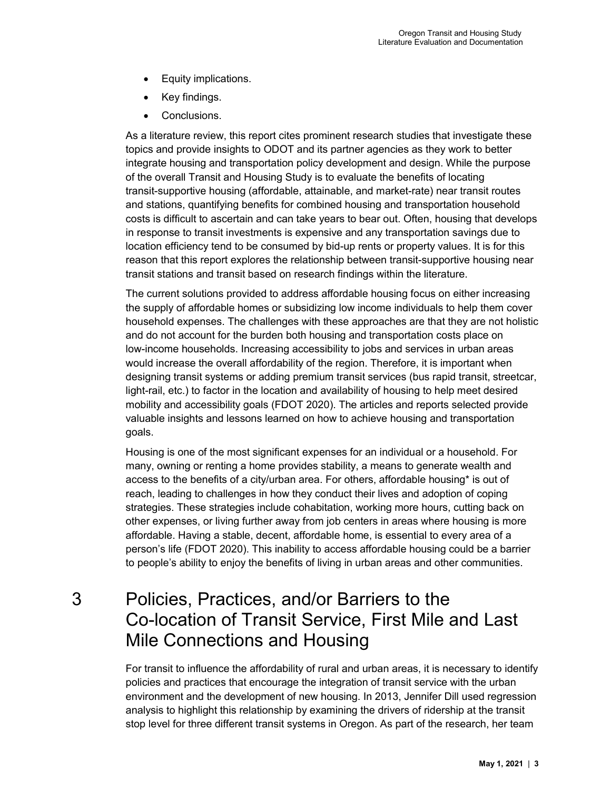- Equity implications.
- Key findings.
- Conclusions.

As a literature review, this report cites prominent research studies that investigate these topics and provide insights to ODOT and its partner agencies as they work to better integrate housing and transportation policy development and design. While the purpose of the overall Transit and Housing Study is to evaluate the benefits of locating transit-supportive housing (affordable, attainable, and market-rate) near transit routes and stations, quantifying benefits for combined housing and transportation household costs is difficult to ascertain and can take years to bear out. Often, housing that develops in response to transit investments is expensive and any transportation savings due to location efficiency tend to be consumed by bid-up rents or property values. It is for this reason that this report explores the relationship between transit-supportive housing near transit stations and transit based on research findings within the literature.

The current solutions provided to address affordable housing focus on either increasing the supply of affordable homes or subsidizing low income individuals to help them cover household expenses. The challenges with these approaches are that they are not holistic and do not account for the burden both housing and transportation costs place on low-income households. Increasing accessibility to jobs and services in urban areas would increase the overall affordability of the region. Therefore, it is important when designing transit systems or adding premium transit services (bus rapid transit, streetcar, light-rail, etc.) to factor in the location and availability of housing to help meet desired mobility and accessibility goals (FDOT 2020). The articles and reports selected provide valuable insights and lessons learned on how to achieve housing and transportation goals.

Housing is one of the most significant expenses for an individual or a household. For many, owning or renting a home provides stability, a means to generate wealth and access to the benefits of a city/urban area. For others, affordable housing\* is out of reach, leading to challenges in how they conduct their lives and adoption of coping strategies. These strategies include cohabitation, working more hours, cutting back on other expenses, or living further away from job centers in areas where housing is more affordable. Having a stable, decent, affordable home, is essential to every area of a person's life (FDOT 2020). This inability to access affordable housing could be a barrier to people's ability to enjoy the benefits of living in urban areas and other communities.

# <span id="page-6-0"></span>3 Policies, Practices, and/or Barriers to the Co-location of Transit Service, First Mile and Last Mile Connections and Housing

For transit to influence the affordability of rural and urban areas, it is necessary to identify policies and practices that encourage the integration of transit service with the urban environment and the development of new housing. In 2013, Jennifer Dill used regression analysis to highlight this relationship by examining the drivers of ridership at the transit stop level for three different transit systems in Oregon. As part of the research, her team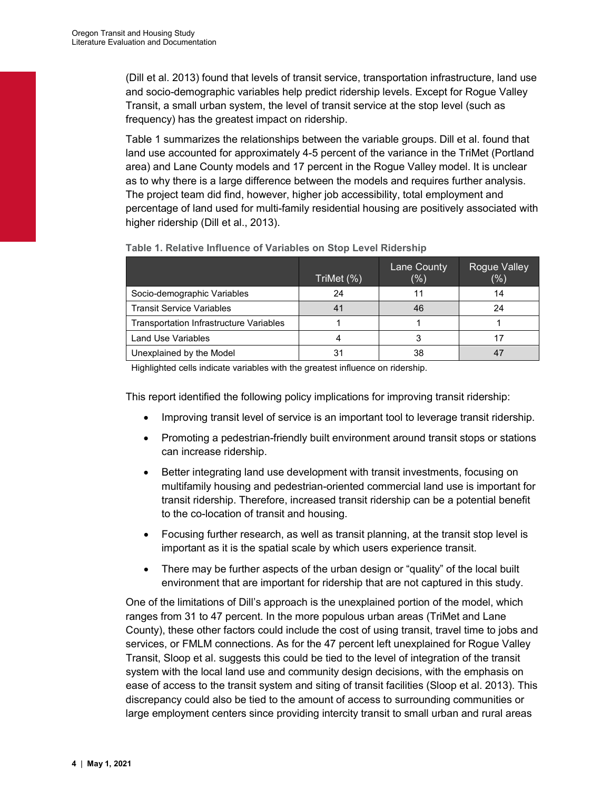(Dill et al. 2013) found that levels of transit service, transportation infrastructure, land use and socio-demographic variables help predict ridership levels. Except for Rogue Valley Transit, a small urban system, the level of transit service at the stop level (such as frequency) has the greatest impact on ridership.

[Table](#page-7-0) 1 summarizes the relationships between the variable groups. Dill et al. found that land use accounted for approximately 4-5 percent of the variance in the TriMet (Portland area) and Lane County models and 17 percent in the Rogue Valley model. It is unclear as to why there is a large difference between the models and requires further analysis. The project team did find, however, higher job accessibility, total employment and percentage of land used for multi-family residential housing are positively associated with higher ridership (Dill et al., 2013).

|                                                | TriMet (%) | Lane County<br>(%) | Rogue Valley<br>(%) |
|------------------------------------------------|------------|--------------------|---------------------|
| Socio-demographic Variables                    | 24         |                    | 14                  |
| <b>Transit Service Variables</b>               | 41         | 46                 | 24                  |
| <b>Transportation Infrastructure Variables</b> |            |                    |                     |
| Land Use Variables                             |            |                    |                     |
| Unexplained by the Model                       | 31         | 38                 |                     |

#### <span id="page-7-0"></span>**Table 1. Relative Influence of Variables on Stop Level Ridership**

Highlighted cells indicate variables with the greatest influence on ridership.

This report identified the following policy implications for improving transit ridership:

- Improving transit level of service is an important tool to leverage transit ridership.
- Promoting a pedestrian-friendly built environment around transit stops or stations can increase ridership.
- Better integrating land use development with transit investments, focusing on multifamily housing and pedestrian-oriented commercial land use is important for transit ridership. Therefore, increased transit ridership can be a potential benefit to the co-location of transit and housing.
- Focusing further research, as well as transit planning, at the transit stop level is important as it is the spatial scale by which users experience transit.
- There may be further aspects of the urban design or "quality" of the local built environment that are important for ridership that are not captured in this study.

One of the limitations of Dill's approach is the unexplained portion of the model, which ranges from 31 to 47 percent. In the more populous urban areas (TriMet and Lane County), these other factors could include the cost of using transit, travel time to jobs and services, or FMLM connections. As for the 47 percent left unexplained for Rogue Valley Transit, Sloop et al. suggests this could be tied to the level of integration of the transit system with the local land use and community design decisions, with the emphasis on ease of access to the transit system and siting of transit facilities (Sloop et al. 2013). This discrepancy could also be tied to the amount of access to surrounding communities or large employment centers since providing intercity transit to small urban and rural areas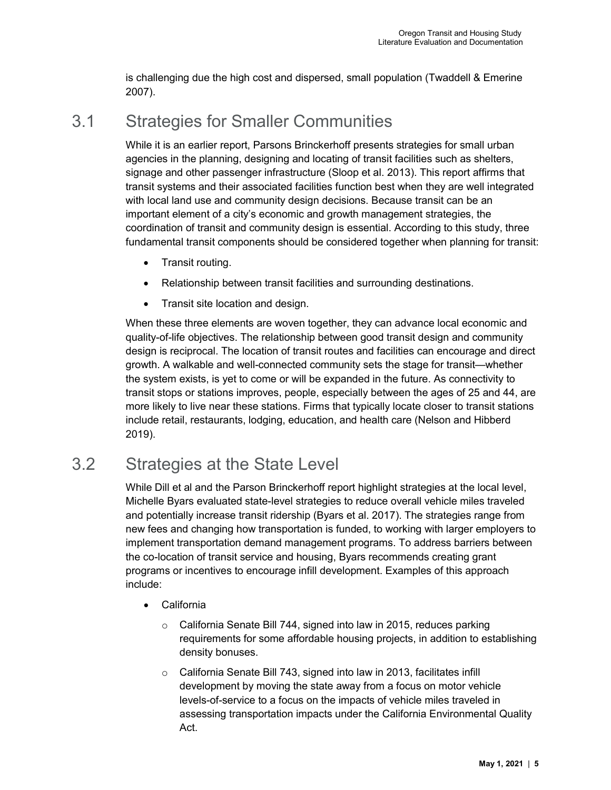is challenging due the high cost and dispersed, small population (Twaddell & Emerine 2007).

# <span id="page-8-0"></span>3.1 Strategies for Smaller Communities

While it is an earlier report, Parsons Brinckerhoff presents strategies for small urban agencies in the planning, designing and locating of transit facilities such as shelters, signage and other passenger infrastructure (Sloop et al. 2013). This report affirms that transit systems and their associated facilities function best when they are well integrated with local land use and community design decisions. Because transit can be an important element of a city's economic and growth management strategies, the coordination of transit and community design is essential. According to this study, three fundamental transit components should be considered together when planning for transit:

- Transit routing.
- Relationship between transit facilities and surrounding destinations.
- Transit site location and design.

When these three elements are woven together, they can advance local economic and quality-of-life objectives. The relationship between good transit design and community design is reciprocal. The location of transit routes and facilities can encourage and direct growth. A walkable and well-connected community sets the stage for transit—whether the system exists, is yet to come or will be expanded in the future. As connectivity to transit stops or stations improves, people, especially between the ages of 25 and 44, are more likely to live near these stations. Firms that typically locate closer to transit stations include retail, restaurants, lodging, education, and health care (Nelson and Hibberd 2019).

# <span id="page-8-1"></span>3.2 Strategies at the State Level

While Dill et al and the Parson Brinckerhoff report highlight strategies at the local level, Michelle Byars evaluated state-level strategies to reduce overall vehicle miles traveled and potentially increase transit ridership (Byars et al. 2017). The strategies range from new fees and changing how transportation is funded, to working with larger employers to implement transportation demand management programs. To address barriers between the co-location of transit service and housing, Byars recommends creating grant programs or incentives to encourage infill development. Examples of this approach include:

- California
	- o California Senate Bill 744, signed into law in 2015, reduces parking requirements for some affordable housing projects, in addition to establishing density bonuses.
	- o California Senate Bill 743, signed into law in 2013, facilitates infill development by moving the state away from a focus on motor vehicle levels-of-service to a focus on the impacts of vehicle miles traveled in assessing transportation impacts under the California Environmental Quality Act.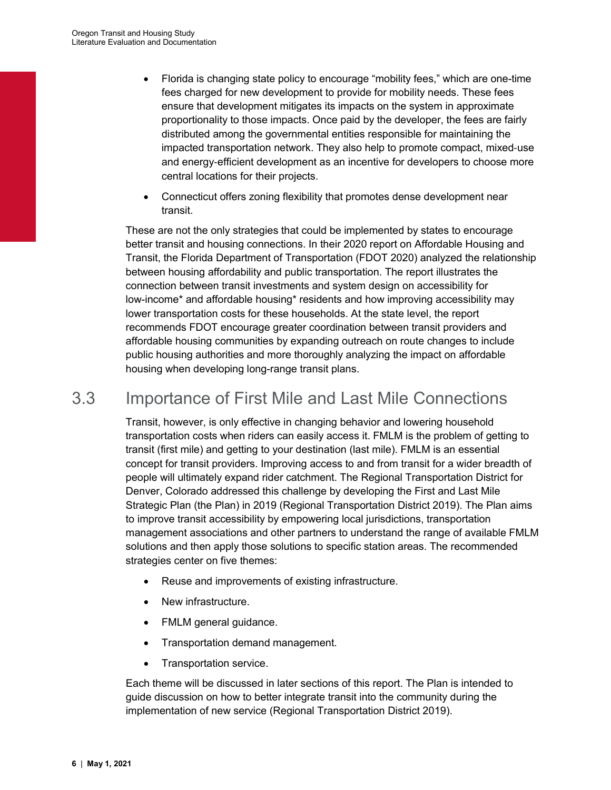- Florida is changing state policy to encourage "mobility fees," which are one-time fees charged for new development to provide for mobility needs. These fees ensure that development mitigates its impacts on the system in approximate proportionality to those impacts. Once paid by the developer, the fees are fairly distributed among the governmental entities responsible for maintaining the impacted transportation network. They also help to promote compact, mixed‐use and energy‐efficient development as an incentive for developers to choose more central locations for their projects.
- Connecticut offers zoning flexibility that promotes dense development near transit.

These are not the only strategies that could be implemented by states to encourage better transit and housing connections. In their 2020 report on Affordable Housing and Transit, the Florida Department of Transportation (FDOT 2020) analyzed the relationship between housing affordability and public transportation. The report illustrates the connection between transit investments and system design on accessibility for low-income\* and affordable housing\* residents and how improving accessibility may lower transportation costs for these households. At the state level, the report recommends FDOT encourage greater coordination between transit providers and affordable housing communities by expanding outreach on route changes to include public housing authorities and more thoroughly analyzing the impact on affordable housing when developing long-range transit plans.

# <span id="page-9-0"></span>3.3 Importance of First Mile and Last Mile Connections

Transit, however, is only effective in changing behavior and lowering household transportation costs when riders can easily access it. FMLM is the problem of getting to transit (first mile) and getting to your destination (last mile). FMLM is an essential concept for transit providers. Improving access to and from transit for a wider breadth of people will ultimately expand rider catchment. The Regional Transportation District for Denver, Colorado addressed this challenge by developing the First and Last Mile Strategic Plan (the Plan) in 2019 (Regional Transportation District 2019). The Plan aims to improve transit accessibility by empowering local jurisdictions, transportation management associations and other partners to understand the range of available FMLM solutions and then apply those solutions to specific station areas. The recommended strategies center on five themes:

- Reuse and improvements of existing infrastructure.
- New infrastructure.
- FMLM general guidance.
- Transportation demand management.
- Transportation service.

Each theme will be discussed in later sections of this report. The Plan is intended to guide discussion on how to better integrate transit into the community during the implementation of new service (Regional Transportation District 2019).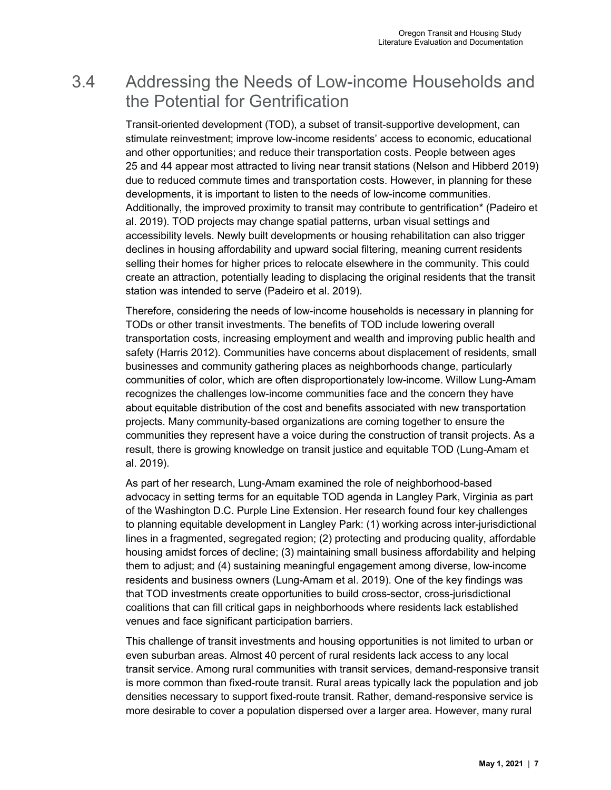# <span id="page-10-0"></span>3.4 Addressing the Needs of Low-income Households and the Potential for Gentrification

Transit-oriented development (TOD), a subset of transit-supportive development, can stimulate reinvestment; improve low-income residents' access to economic, educational and other opportunities; and reduce their transportation costs. People between ages 25 and 44 appear most attracted to living near transit stations (Nelson and Hibberd 2019) due to reduced commute times and transportation costs. However, in planning for these developments, it is important to listen to the needs of low-income communities. Additionally, the improved proximity to transit may contribute to gentrification\* (Padeiro et al. 2019). TOD projects may change spatial patterns, urban visual settings and accessibility levels. Newly built developments or housing rehabilitation can also trigger declines in housing affordability and upward social filtering, meaning current residents selling their homes for higher prices to relocate elsewhere in the community. This could create an attraction, potentially leading to displacing the original residents that the transit station was intended to serve (Padeiro et al. 2019).

Therefore, considering the needs of low-income households is necessary in planning for TODs or other transit investments. The benefits of TOD include lowering overall transportation costs, increasing employment and wealth and improving public health and safety (Harris 2012). Communities have concerns about displacement of residents, small businesses and community gathering places as neighborhoods change, particularly communities of color, which are often disproportionately low-income. Willow Lung-Amam recognizes the challenges low-income communities face and the concern they have about equitable distribution of the cost and benefits associated with new transportation projects. Many community-based organizations are coming together to ensure the communities they represent have a voice during the construction of transit projects. As a result, there is growing knowledge on transit justice and equitable TOD (Lung-Amam et al. 2019).

As part of her research, Lung-Amam examined the role of neighborhood-based advocacy in setting terms for an equitable TOD agenda in Langley Park, Virginia as part of the Washington D.C. Purple Line Extension. Her research found four key challenges to planning equitable development in Langley Park: (1) working across inter-jurisdictional lines in a fragmented, segregated region; (2) protecting and producing quality, affordable housing amidst forces of decline; (3) maintaining small business affordability and helping them to adjust; and (4) sustaining meaningful engagement among diverse, low-income residents and business owners (Lung-Amam et al. 2019). One of the key findings was that TOD investments create opportunities to build cross-sector, cross-jurisdictional coalitions that can fill critical gaps in neighborhoods where residents lack established venues and face significant participation barriers.

This challenge of transit investments and housing opportunities is not limited to urban or even suburban areas. Almost 40 percent of rural residents lack access to any local transit service. Among rural communities with transit services, demand-responsive transit is more common than fixed-route transit. Rural areas typically lack the population and job densities necessary to support fixed-route transit. Rather, demand-responsive service is more desirable to cover a population dispersed over a larger area. However, many rural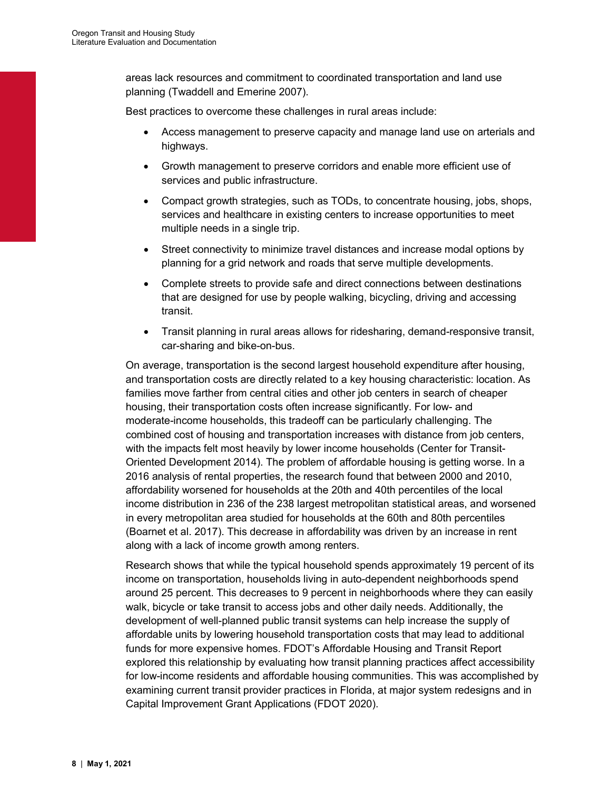areas lack resources and commitment to coordinated transportation and land use planning (Twaddell and Emerine 2007).

Best practices to overcome these challenges in rural areas include:

- Access management to preserve capacity and manage land use on arterials and highways.
- Growth management to preserve corridors and enable more efficient use of services and public infrastructure.
- Compact growth strategies, such as TODs, to concentrate housing, jobs, shops, services and healthcare in existing centers to increase opportunities to meet multiple needs in a single trip.
- Street connectivity to minimize travel distances and increase modal options by planning for a grid network and roads that serve multiple developments.
- Complete streets to provide safe and direct connections between destinations that are designed for use by people walking, bicycling, driving and accessing transit.
- Transit planning in rural areas allows for ridesharing, demand-responsive transit, car-sharing and bike-on-bus.

On average, transportation is the second largest household expenditure after housing, and transportation costs are directly related to a key housing characteristic: location. As families move farther from central cities and other job centers in search of cheaper housing, their transportation costs often increase significantly. For low- and moderate-income households, this tradeoff can be particularly challenging. The combined cost of housing and transportation increases with distance from job centers, with the impacts felt most heavily by lower income households (Center for Transit-Oriented Development 2014). The problem of affordable housing is getting worse. In a 2016 analysis of rental properties, the research found that between 2000 and 2010, affordability worsened for households at the 20th and 40th percentiles of the local income distribution in 236 of the 238 largest metropolitan statistical areas, and worsened in every metropolitan area studied for households at the 60th and 80th percentiles (Boarnet et al. 2017). This decrease in affordability was driven by an increase in rent along with a lack of income growth among renters.

Research shows that while the typical household spends approximately 19 percent of its income on transportation, households living in auto-dependent neighborhoods spend around 25 percent. This decreases to 9 percent in neighborhoods where they can easily walk, bicycle or take transit to access jobs and other daily needs. Additionally, the development of well-planned public transit systems can help increase the supply of affordable units by lowering household transportation costs that may lead to additional funds for more expensive homes. FDOT's Affordable Housing and Transit Report explored this relationship by evaluating how transit planning practices affect accessibility for low-income residents and affordable housing communities. This was accomplished by examining current transit provider practices in Florida, at major system redesigns and in Capital Improvement Grant Applications (FDOT 2020).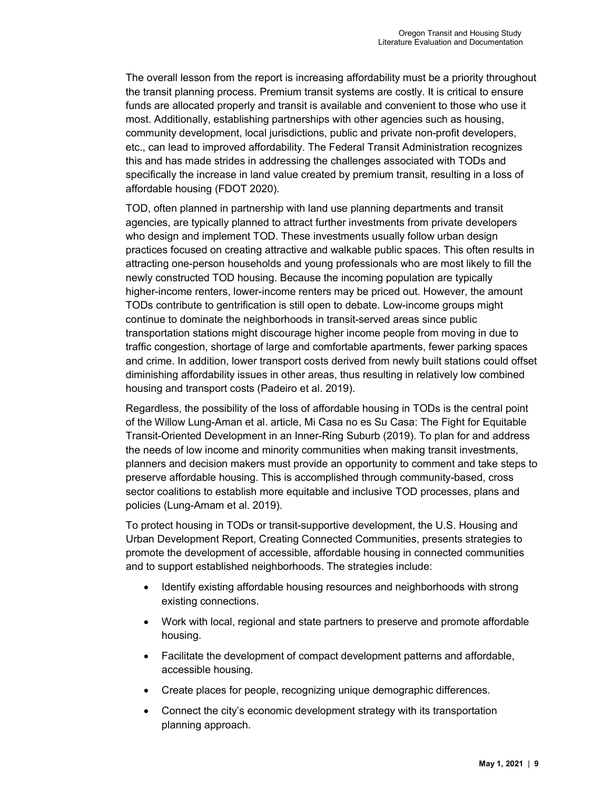The overall lesson from the report is increasing affordability must be a priority throughout the transit planning process. Premium transit systems are costly. It is critical to ensure funds are allocated properly and transit is available and convenient to those who use it most. Additionally, establishing partnerships with other agencies such as housing, community development, local jurisdictions, public and private non-profit developers, etc., can lead to improved affordability. The Federal Transit Administration recognizes this and has made strides in addressing the challenges associated with TODs and specifically the increase in land value created by premium transit, resulting in a loss of affordable housing (FDOT 2020).

TOD, often planned in partnership with land use planning departments and transit agencies, are typically planned to attract further investments from private developers who design and implement TOD. These investments usually follow urban design practices focused on creating attractive and walkable public spaces. This often results in attracting one-person households and young professionals who are most likely to fill the newly constructed TOD housing. Because the incoming population are typically higher-income renters, lower-income renters may be priced out. However, the amount TODs contribute to gentrification is still open to debate. Low-income groups might continue to dominate the neighborhoods in transit-served areas since public transportation stations might discourage higher income people from moving in due to traffic congestion, shortage of large and comfortable apartments, fewer parking spaces and crime. In addition, lower transport costs derived from newly built stations could offset diminishing affordability issues in other areas, thus resulting in relatively low combined housing and transport costs (Padeiro et al. 2019).

Regardless, the possibility of the loss of affordable housing in TODs is the central point of the Willow Lung-Aman et al. article, Mi Casa no es Su Casa: The Fight for Equitable Transit-Oriented Development in an Inner-Ring Suburb (2019). To plan for and address the needs of low income and minority communities when making transit investments, planners and decision makers must provide an opportunity to comment and take steps to preserve affordable housing. This is accomplished through community-based, cross sector coalitions to establish more equitable and inclusive TOD processes, plans and policies (Lung-Amam et al. 2019).

To protect housing in TODs or transit-supportive development, the U.S. Housing and Urban Development Report, Creating Connected Communities, presents strategies to promote the development of accessible, affordable housing in connected communities and to support established neighborhoods. The strategies include:

- Identify existing affordable housing resources and neighborhoods with strong existing connections.
- Work with local, regional and state partners to preserve and promote affordable housing.
- Facilitate the development of compact development patterns and affordable, accessible housing.
- Create places for people, recognizing unique demographic differences.
- Connect the city's economic development strategy with its transportation planning approach.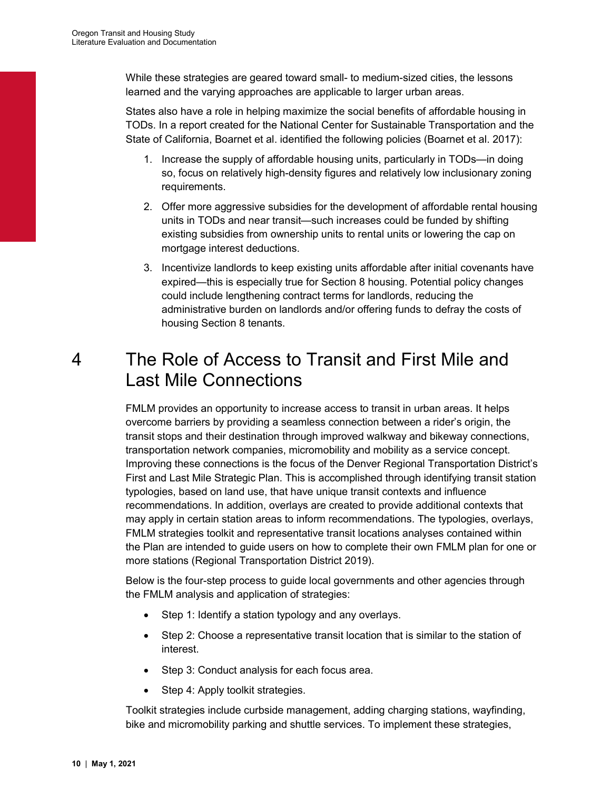While these strategies are geared toward small- to medium-sized cities, the lessons learned and the varying approaches are applicable to larger urban areas.

States also have a role in helping maximize the social benefits of affordable housing in TODs. In a report created for the National Center for Sustainable Transportation and the State of California, Boarnet et al. identified the following policies (Boarnet et al. 2017):

- 1. Increase the supply of affordable housing units, particularly in TODs—in doing so, focus on relatively high-density figures and relatively low inclusionary zoning requirements.
- 2. Offer more aggressive subsidies for the development of affordable rental housing units in TODs and near transit—such increases could be funded by shifting existing subsidies from ownership units to rental units or lowering the cap on mortgage interest deductions.
- 3. Incentivize landlords to keep existing units affordable after initial covenants have expired—this is especially true for Section 8 housing. Potential policy changes could include lengthening contract terms for landlords, reducing the administrative burden on landlords and/or offering funds to defray the costs of housing Section 8 tenants.

# <span id="page-13-0"></span>4 The Role of Access to Transit and First Mile and Last Mile Connections

FMLM provides an opportunity to increase access to transit in urban areas. It helps overcome barriers by providing a seamless connection between a rider's origin, the transit stops and their destination through improved walkway and bikeway connections, transportation network companies, micromobility and mobility as a service concept. Improving these connections is the focus of the Denver Regional Transportation District's First and Last Mile Strategic Plan. This is accomplished through identifying transit station typologies, based on land use, that have unique transit contexts and influence recommendations. In addition, overlays are created to provide additional contexts that may apply in certain station areas to inform recommendations. The typologies, overlays, FMLM strategies toolkit and representative transit locations analyses contained within the Plan are intended to guide users on how to complete their own FMLM plan for one or more stations (Regional Transportation District 2019).

Below is the four-step process to guide local governments and other agencies through the FMLM analysis and application of strategies:

- Step 1: Identify a station typology and any overlays.
- Step 2: Choose a representative transit location that is similar to the station of interest.
- Step 3: Conduct analysis for each focus area.
- Step 4: Apply toolkit strategies.

Toolkit strategies include curbside management, adding charging stations, wayfinding, bike and micromobility parking and shuttle services. To implement these strategies,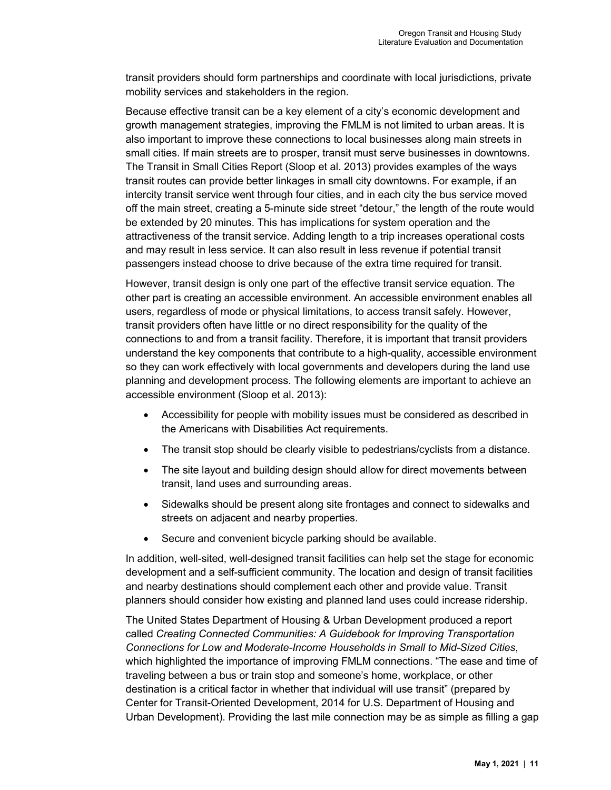transit providers should form partnerships and coordinate with local jurisdictions, private mobility services and stakeholders in the region.

Because effective transit can be a key element of a city's economic development and growth management strategies, improving the FMLM is not limited to urban areas. It is also important to improve these connections to local businesses along main streets in small cities. If main streets are to prosper, transit must serve businesses in downtowns. The Transit in Small Cities Report (Sloop et al. 2013) provides examples of the ways transit routes can provide better linkages in small city downtowns. For example, if an intercity transit service went through four cities, and in each city the bus service moved off the main street, creating a 5-minute side street "detour," the length of the route would be extended by 20 minutes. This has implications for system operation and the attractiveness of the transit service. Adding length to a trip increases operational costs and may result in less service. It can also result in less revenue if potential transit passengers instead choose to drive because of the extra time required for transit.

However, transit design is only one part of the effective transit service equation. The other part is creating an accessible environment. An accessible environment enables all users, regardless of mode or physical limitations, to access transit safely. However, transit providers often have little or no direct responsibility for the quality of the connections to and from a transit facility. Therefore, it is important that transit providers understand the key components that contribute to a high-quality, accessible environment so they can work effectively with local governments and developers during the land use planning and development process. The following elements are important to achieve an accessible environment (Sloop et al. 2013):

- Accessibility for people with mobility issues must be considered as described in the Americans with Disabilities Act requirements.
- The transit stop should be clearly visible to pedestrians/cyclists from a distance.
- The site layout and building design should allow for direct movements between transit, land uses and surrounding areas.
- Sidewalks should be present along site frontages and connect to sidewalks and streets on adjacent and nearby properties.
- Secure and convenient bicycle parking should be available.

In addition, well-sited, well-designed transit facilities can help set the stage for economic development and a self-sufficient community. The location and design of transit facilities and nearby destinations should complement each other and provide value. Transit planners should consider how existing and planned land uses could increase ridership.

The United States Department of Housing & Urban Development produced a report called *Creating Connected Communities: A Guidebook for Improving Transportation Connections for Low and Moderate-Income Households in Small to Mid-Sized Cities*, which highlighted the importance of improving FMLM connections. "The ease and time of traveling between a bus or train stop and someone's home, workplace, or other destination is a critical factor in whether that individual will use transit" (prepared by Center for Transit-Oriented Development, 2014 for U.S. Department of Housing and Urban Development). Providing the last mile connection may be as simple as filling a gap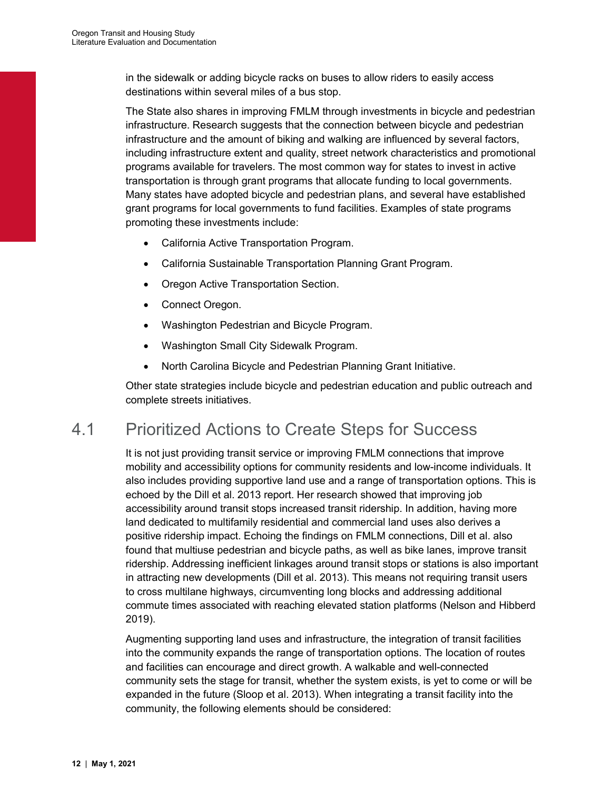in the sidewalk or adding bicycle racks on buses to allow riders to easily access destinations within several miles of a bus stop.

The State also shares in improving FMLM through investments in bicycle and pedestrian infrastructure. Research suggests that the connection between bicycle and pedestrian infrastructure and the amount of biking and walking are influenced by several factors, including infrastructure extent and quality, street network characteristics and promotional programs available for travelers. The most common way for states to invest in active transportation is through grant programs that allocate funding to local governments. Many states have adopted bicycle and pedestrian plans, and several have established grant programs for local governments to fund facilities. Examples of state programs promoting these investments include:

- California Active Transportation Program.
- California Sustainable Transportation Planning Grant Program.
- Oregon Active Transportation Section.
- Connect Oregon.
- Washington Pedestrian and Bicycle Program.
- Washington Small City Sidewalk Program.
- North Carolina Bicycle and Pedestrian Planning Grant Initiative.

Other state strategies include bicycle and pedestrian education and public outreach and complete streets initiatives.

## <span id="page-15-0"></span>4.1 Prioritized Actions to Create Steps for Success

It is not just providing transit service or improving FMLM connections that improve mobility and accessibility options for community residents and low-income individuals. It also includes providing supportive land use and a range of transportation options. This is echoed by the Dill et al. 2013 report. Her research showed that improving job accessibility around transit stops increased transit ridership. In addition, having more land dedicated to multifamily residential and commercial land uses also derives a positive ridership impact. Echoing the findings on FMLM connections, Dill et al. also found that multiuse pedestrian and bicycle paths, as well as bike lanes, improve transit ridership. Addressing inefficient linkages around transit stops or stations is also important in attracting new developments (Dill et al. 2013). This means not requiring transit users to cross multilane highways, circumventing long blocks and addressing additional commute times associated with reaching elevated station platforms (Nelson and Hibberd 2019).

Augmenting supporting land uses and infrastructure, the integration of transit facilities into the community expands the range of transportation options. The location of routes and facilities can encourage and direct growth. A walkable and well-connected community sets the stage for transit, whether the system exists, is yet to come or will be expanded in the future (Sloop et al. 2013). When integrating a transit facility into the community, the following elements should be considered: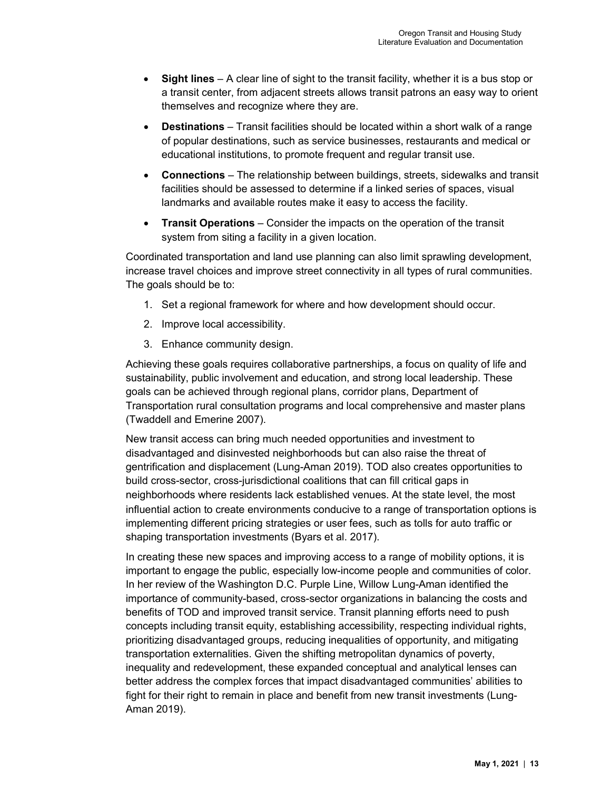- **Sight lines** A clear line of sight to the transit facility, whether it is a bus stop or a transit center, from adjacent streets allows transit patrons an easy way to orient themselves and recognize where they are.
- **Destinations** Transit facilities should be located within a short walk of a range of popular destinations, such as service businesses, restaurants and medical or educational institutions, to promote frequent and regular transit use.
- **Connections** The relationship between buildings, streets, sidewalks and transit facilities should be assessed to determine if a linked series of spaces, visual landmarks and available routes make it easy to access the facility.
- **Transit Operations** Consider the impacts on the operation of the transit system from siting a facility in a given location.

Coordinated transportation and land use planning can also limit sprawling development, increase travel choices and improve street connectivity in all types of rural communities. The goals should be to:

- 1. Set a regional framework for where and how development should occur.
- 2. Improve local accessibility.
- 3. Enhance community design.

Achieving these goals requires collaborative partnerships, a focus on quality of life and sustainability, public involvement and education, and strong local leadership. These goals can be achieved through regional plans, corridor plans, Department of Transportation rural consultation programs and local comprehensive and master plans (Twaddell and Emerine 2007).

New transit access can bring much needed opportunities and investment to disadvantaged and disinvested neighborhoods but can also raise the threat of gentrification and displacement (Lung-Aman 2019). TOD also creates opportunities to build cross-sector, cross-jurisdictional coalitions that can fill critical gaps in neighborhoods where residents lack established venues. At the state level, the most influential action to create environments conducive to a range of transportation options is implementing different pricing strategies or user fees, such as tolls for auto traffic or shaping transportation investments (Byars et al. 2017).

In creating these new spaces and improving access to a range of mobility options, it is important to engage the public, especially low-income people and communities of color. In her review of the Washington D.C. Purple Line, Willow Lung-Aman identified the importance of community-based, cross-sector organizations in balancing the costs and benefits of TOD and improved transit service. Transit planning efforts need to push concepts including transit equity, establishing accessibility, respecting individual rights, prioritizing disadvantaged groups, reducing inequalities of opportunity, and mitigating transportation externalities. Given the shifting metropolitan dynamics of poverty, inequality and redevelopment, these expanded conceptual and analytical lenses can better address the complex forces that impact disadvantaged communities' abilities to fight for their right to remain in place and benefit from new transit investments (Lung-Aman 2019).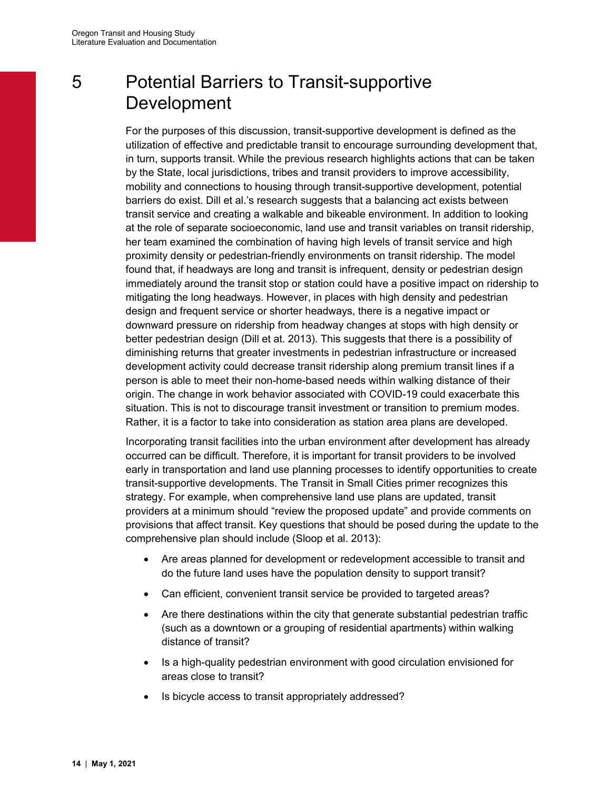# <span id="page-17-0"></span>5 Potential Barriers to Transit-supportive Development

For the purposes of this discussion, transit-supportive development is defined as the utilization of effective and predictable transit to encourage surrounding development that, in turn, supports transit. While the previous research highlights actions that can be taken by the State, local jurisdictions, tribes and transit providers to improve accessibility, mobility and connections to housing through transit-supportive development, potential barriers do exist. Dill et al.'s research suggests that a balancing act exists between transit service and creating a walkable and bikeable environment. In addition to looking at the role of separate socioeconomic, land use and transit variables on transit ridership, her team examined the combination of having high levels of transit service and high proximity density or pedestrian-friendly environments on transit ridership. The model found that, if headways are long and transit is infrequent, density or pedestrian design immediately around the transit stop or station could have a positive impact on ridership to mitigating the long headways. However, in places with high density and pedestrian design and frequent service or shorter headways, there is a negative impact or downward pressure on ridership from headway changes at stops with high density or better pedestrian design (Dill et at. 2013). This suggests that there is a possibility of diminishing returns that greater investments in pedestrian infrastructure or increased development activity could decrease transit ridership along premium transit lines if a person is able to meet their non-home-based needs within walking distance of their origin. The change in work behavior associated with COVID-19 could exacerbate this situation. This is not to discourage transit investment or transition to premium modes. Rather, it is a factor to take into consideration as station area plans are developed.

Incorporating transit facilities into the urban environment after development has already occurred can be difficult. Therefore, it is important for transit providers to be involved early in transportation and land use planning processes to identify opportunities to create transit-supportive developments. The Transit in Small Cities primer recognizes this strategy. For example, when comprehensive land use plans are updated, transit providers at a minimum should "review the proposed update" and provide comments on provisions that affect transit. Key questions that should be posed during the update to the comprehensive plan should include (Sloop et al. 2013):

- Are areas planned for development or redevelopment accessible to transit and do the future land uses have the population density to support transit?
- Can efficient, convenient transit service be provided to targeted areas?
- Are there destinations within the city that generate substantial pedestrian traffic (such as a downtown or a grouping of residential apartments) within walking distance of transit?
- Is a high-quality pedestrian environment with good circulation envisioned for areas close to transit?
- Is bicycle access to transit appropriately addressed?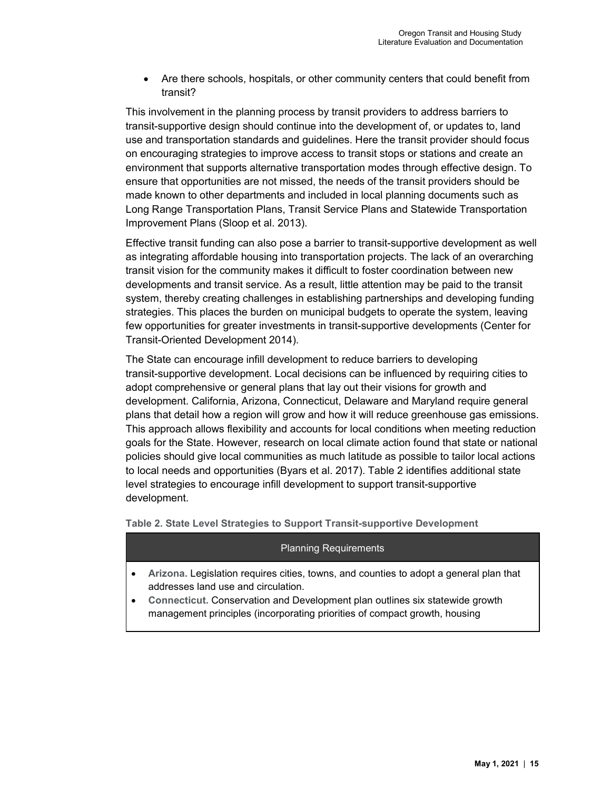• Are there schools, hospitals, or other community centers that could benefit from transit?

This involvement in the planning process by transit providers to address barriers to transit-supportive design should continue into the development of, or updates to, land use and transportation standards and guidelines. Here the transit provider should focus on encouraging strategies to improve access to transit stops or stations and create an environment that supports alternative transportation modes through effective design. To ensure that opportunities are not missed, the needs of the transit providers should be made known to other departments and included in local planning documents such as Long Range Transportation Plans, Transit Service Plans and Statewide Transportation Improvement Plans (Sloop et al. 2013).

Effective transit funding can also pose a barrier to transit-supportive development as well as integrating affordable housing into transportation projects. The lack of an overarching transit vision for the community makes it difficult to foster coordination between new developments and transit service. As a result, little attention may be paid to the transit system, thereby creating challenges in establishing partnerships and developing funding strategies. This places the burden on municipal budgets to operate the system, leaving few opportunities for greater investments in transit-supportive developments (Center for Transit-Oriented Development 2014).

The State can encourage infill development to reduce barriers to developing transit-supportive development. Local decisions can be influenced by requiring cities to adopt comprehensive or general plans that lay out their visions for growth and development. California, Arizona, Connecticut, Delaware and Maryland require general plans that detail how a region will grow and how it will reduce greenhouse gas emissions. This approach allows flexibility and accounts for local conditions when meeting reduction goals for the State. However, research on local climate action found that state or national policies should give local communities as much latitude as possible to tailor local actions to local needs and opportunities (Byars et al. 2017). [Table](#page-18-0) 2 identifies additional state level strategies to encourage infill development to support transit-supportive development.

<span id="page-18-0"></span>**Table 2. State Level Strategies to Support Transit-supportive Development**

## Planning Requirements

- **Arizona.** Legislation requires cities, towns, and counties to adopt a general plan that addresses land use and circulation.
- **Connecticut.** Conservation and Development plan outlines six statewide growth management principles (incorporating priorities of compact growth, housing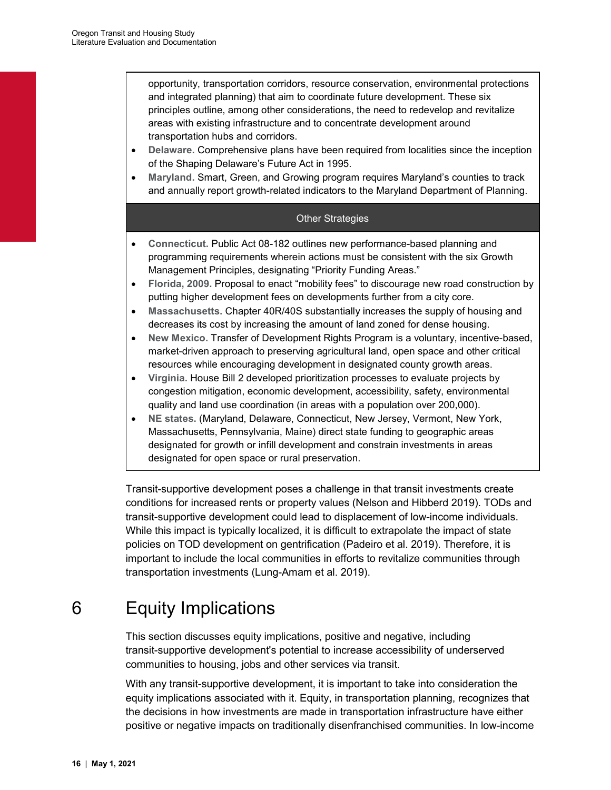opportunity, transportation corridors, resource conservation, environmental protections and integrated planning) that aim to coordinate future development. These six principles outline, among other considerations, the need to redevelop and revitalize areas with existing infrastructure and to concentrate development around transportation hubs and corridors.

- **Delaware.** Comprehensive plans have been required from localities since the inception of the Shaping Delaware's Future Act in 1995.
- **Maryland.** Smart, Green, and Growing program requires Maryland's counties to track and annually report growth-related indicators to the Maryland Department of Planning.

#### Other Strategies

- **Connecticut.** Public Act 08-182 outlines new performance-based planning and programming requirements wherein actions must be consistent with the six Growth Management Principles, designating "Priority Funding Areas."
- **Florida, 2009.** Proposal to enact "mobility fees" to discourage new road construction by putting higher development fees on developments further from a city core.
- **Massachusetts.** Chapter 40R/40S substantially increases the supply of housing and decreases its cost by increasing the amount of land zoned for dense housing.
- **New Mexico.** Transfer of Development Rights Program is a voluntary, incentive-based, market-driven approach to preserving agricultural land, open space and other critical resources while encouraging development in designated county growth areas.
- **Virginia.** House Bill 2 developed prioritization processes to evaluate projects by congestion mitigation, economic development, accessibility, safety, environmental quality and land use coordination (in areas with a population over 200,000).
- **NE states.** (Maryland, Delaware, Connecticut, New Jersey, Vermont, New York, Massachusetts, Pennsylvania, Maine) direct state funding to geographic areas designated for growth or infill development and constrain investments in areas designated for open space or rural preservation.

Transit-supportive development poses a challenge in that transit investments create conditions for increased rents or property values (Nelson and Hibberd 2019). TODs and transit-supportive development could lead to displacement of low-income individuals. While this impact is typically localized, it is difficult to extrapolate the impact of state policies on TOD development on gentrification (Padeiro et al. 2019). Therefore, it is important to include the local communities in efforts to revitalize communities through transportation investments (Lung-Amam et al. 2019).

# <span id="page-19-0"></span>6 Equity Implications

This section discusses equity implications, positive and negative, including transit-supportive development's potential to increase accessibility of underserved communities to housing, jobs and other services via transit.

With any transit-supportive development, it is important to take into consideration the equity implications associated with it. Equity, in transportation planning, recognizes that the decisions in how investments are made in transportation infrastructure have either positive or negative impacts on traditionally disenfranchised communities. In low-income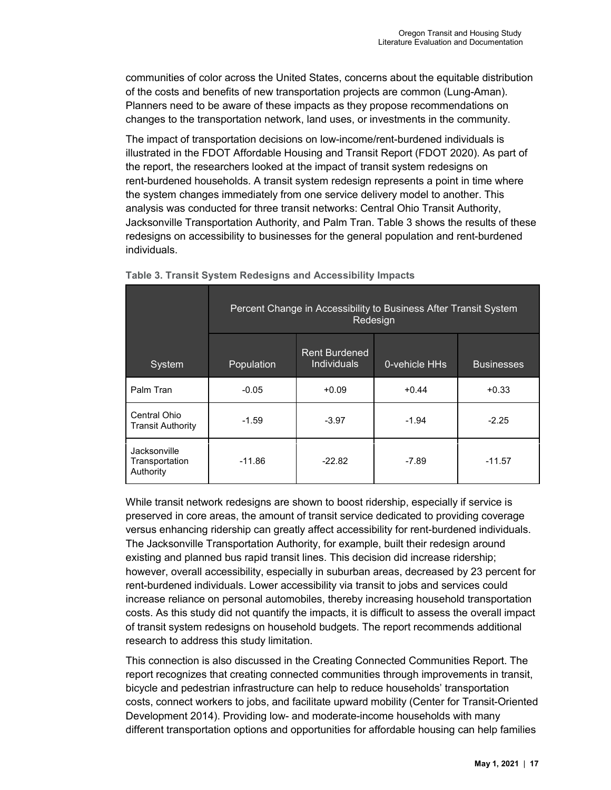communities of color across the United States, concerns about the equitable distribution of the costs and benefits of new transportation projects are common (Lung-Aman). Planners need to be aware of these impacts as they propose recommendations on changes to the transportation network, land uses, or investments in the community.

The impact of transportation decisions on low-income/rent-burdened individuals is illustrated in the FDOT Affordable Housing and Transit Report (FDOT 2020). As part of the report, the researchers looked at the impact of transit system redesigns on rent-burdened households. A transit system redesign represents a point in time where the system changes immediately from one service delivery model to another. This analysis was conducted for three transit networks: Central Ohio Transit Authority, Jacksonville Transportation Authority, and Palm Tran. [Table](#page-20-0) 3 shows the results of these redesigns on accessibility to businesses for the general population and rent-burdened individuals.

|                                             | Percent Change in Accessibility to Business After Transit System<br>Redesign |                                            |               |                   |  |  |
|---------------------------------------------|------------------------------------------------------------------------------|--------------------------------------------|---------------|-------------------|--|--|
| System                                      | Population                                                                   | <b>Rent Burdened</b><br><b>Individuals</b> | 0-vehicle HHs | <b>Businesses</b> |  |  |
| Palm Tran                                   | $-0.05$                                                                      | $+0.09$                                    | $+0.44$       | $+0.33$           |  |  |
| Central Ohio<br><b>Transit Authority</b>    | $-1.59$                                                                      | $-3.97$                                    | $-1.94$       | $-2.25$           |  |  |
| Jacksonville<br>Transportation<br>Authority | $-11.86$                                                                     | $-22.82$                                   | $-7.89$       | $-11.57$          |  |  |

<span id="page-20-0"></span>

|  |  | Table 3. Transit System Redesigns and Accessibility Impacts |  |
|--|--|-------------------------------------------------------------|--|
|  |  |                                                             |  |

While transit network redesigns are shown to boost ridership, especially if service is preserved in core areas, the amount of transit service dedicated to providing coverage versus enhancing ridership can greatly affect accessibility for rent-burdened individuals. The Jacksonville Transportation Authority, for example, built their redesign around existing and planned bus rapid transit lines. This decision did increase ridership; however, overall accessibility, especially in suburban areas, decreased by 23 percent for rent-burdened individuals. Lower accessibility via transit to jobs and services could increase reliance on personal automobiles, thereby increasing household transportation costs. As this study did not quantify the impacts, it is difficult to assess the overall impact of transit system redesigns on household budgets. The report recommends additional research to address this study limitation.

This connection is also discussed in the Creating Connected Communities Report. The report recognizes that creating connected communities through improvements in transit, bicycle and pedestrian infrastructure can help to reduce households' transportation costs, connect workers to jobs, and facilitate upward mobility (Center for Transit-Oriented Development 2014). Providing low- and moderate-income households with many different transportation options and opportunities for affordable housing can help families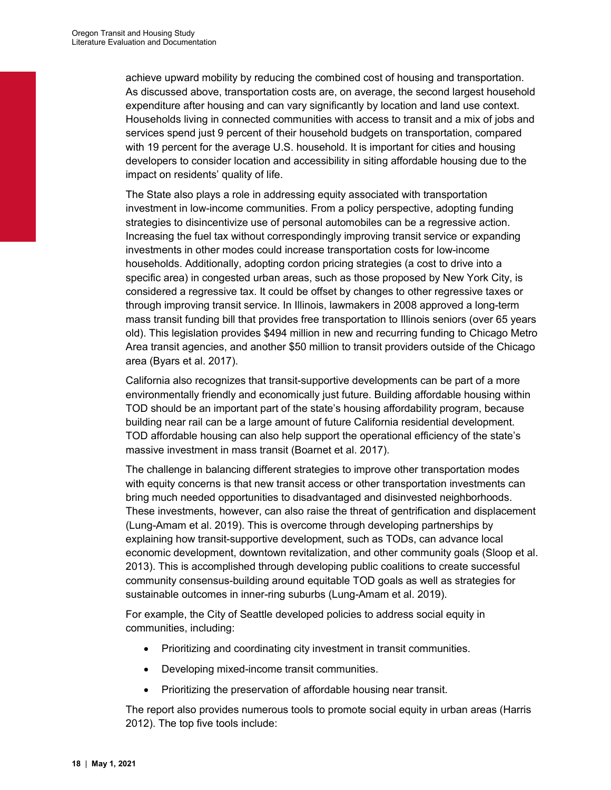achieve upward mobility by reducing the combined cost of housing and transportation. As discussed above, transportation costs are, on average, the second largest household expenditure after housing and can vary significantly by location and land use context. Households living in connected communities with access to transit and a mix of jobs and services spend just 9 percent of their household budgets on transportation, compared with 19 percent for the average U.S. household. It is important for cities and housing developers to consider location and accessibility in siting affordable housing due to the impact on residents' quality of life.

The State also plays a role in addressing equity associated with transportation investment in low-income communities. From a policy perspective, adopting funding strategies to disincentivize use of personal automobiles can be a regressive action. Increasing the fuel tax without correspondingly improving transit service or expanding investments in other modes could increase transportation costs for low-income households. Additionally, adopting cordon pricing strategies (a cost to drive into a specific area) in congested urban areas, such as those proposed by New York City, is considered a regressive tax. It could be offset by changes to other regressive taxes or through improving transit service. In Illinois, lawmakers in 2008 approved a long-term mass transit funding bill that provides free transportation to Illinois seniors (over 65 years old). This legislation provides \$494 million in new and recurring funding to Chicago Metro Area transit agencies, and another \$50 million to transit providers outside of the Chicago area (Byars et al. 2017).

California also recognizes that transit-supportive developments can be part of a more environmentally friendly and economically just future. Building affordable housing within TOD should be an important part of the state's housing affordability program, because building near rail can be a large amount of future California residential development. TOD affordable housing can also help support the operational efficiency of the state's massive investment in mass transit (Boarnet et al. 2017).

The challenge in balancing different strategies to improve other transportation modes with equity concerns is that new transit access or other transportation investments can bring much needed opportunities to disadvantaged and disinvested neighborhoods. These investments, however, can also raise the threat of gentrification and displacement (Lung-Amam et al. 2019). This is overcome through developing partnerships by explaining how transit-supportive development, such as TODs, can advance local economic development, downtown revitalization, and other community goals (Sloop et al. 2013). This is accomplished through developing public coalitions to create successful community consensus-building around equitable TOD goals as well as strategies for sustainable outcomes in inner-ring suburbs (Lung-Amam et al. 2019).

For example, the City of Seattle developed policies to address social equity in communities, including:

- Prioritizing and coordinating city investment in transit communities.
- Developing mixed-income transit communities.
- Prioritizing the preservation of affordable housing near transit.

The report also provides numerous tools to promote social equity in urban areas (Harris 2012). The top five tools include: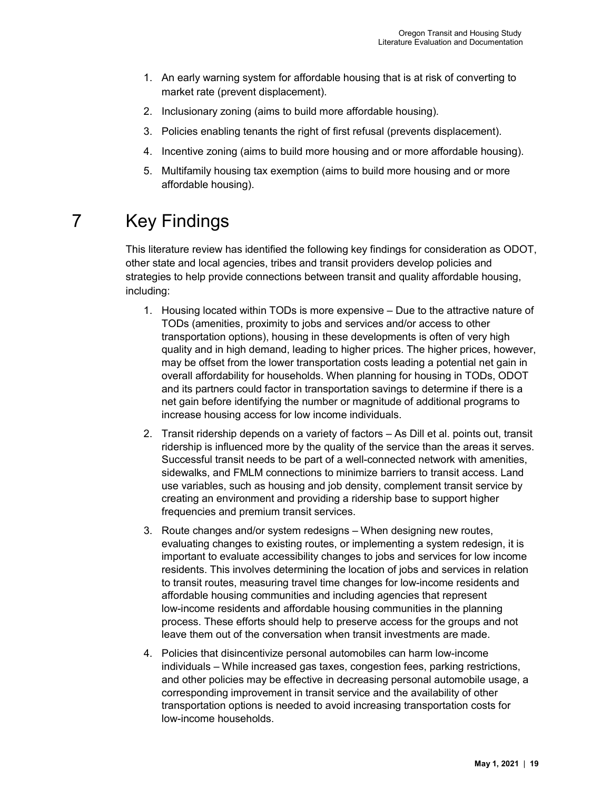- 1. An early warning system for affordable housing that is at risk of converting to market rate (prevent displacement).
- 2. Inclusionary zoning (aims to build more affordable housing).
- 3. Policies enabling tenants the right of first refusal (prevents displacement).
- 4. Incentive zoning (aims to build more housing and or more affordable housing).
- 5. Multifamily housing tax exemption (aims to build more housing and or more affordable housing).

# <span id="page-22-0"></span>7 Key Findings

This literature review has identified the following key findings for consideration as ODOT, other state and local agencies, tribes and transit providers develop policies and strategies to help provide connections between transit and quality affordable housing, including:

- 1. Housing located within TODs is more expensive Due to the attractive nature of TODs (amenities, proximity to jobs and services and/or access to other transportation options), housing in these developments is often of very high quality and in high demand, leading to higher prices. The higher prices, however, may be offset from the lower transportation costs leading a potential net gain in overall affordability for households. When planning for housing in TODs, ODOT and its partners could factor in transportation savings to determine if there is a net gain before identifying the number or magnitude of additional programs to increase housing access for low income individuals.
- 2. Transit ridership depends on a variety of factors As Dill et al. points out, transit ridership is influenced more by the quality of the service than the areas it serves. Successful transit needs to be part of a well-connected network with amenities, sidewalks, and FMLM connections to minimize barriers to transit access. Land use variables, such as housing and job density, complement transit service by creating an environment and providing a ridership base to support higher frequencies and premium transit services.
- 3. Route changes and/or system redesigns When designing new routes, evaluating changes to existing routes, or implementing a system redesign, it is important to evaluate accessibility changes to jobs and services for low income residents. This involves determining the location of jobs and services in relation to transit routes, measuring travel time changes for low-income residents and affordable housing communities and including agencies that represent low-income residents and affordable housing communities in the planning process. These efforts should help to preserve access for the groups and not leave them out of the conversation when transit investments are made.
- 4. Policies that disincentivize personal automobiles can harm low-income individuals – While increased gas taxes, congestion fees, parking restrictions, and other policies may be effective in decreasing personal automobile usage, a corresponding improvement in transit service and the availability of other transportation options is needed to avoid increasing transportation costs for low-income households.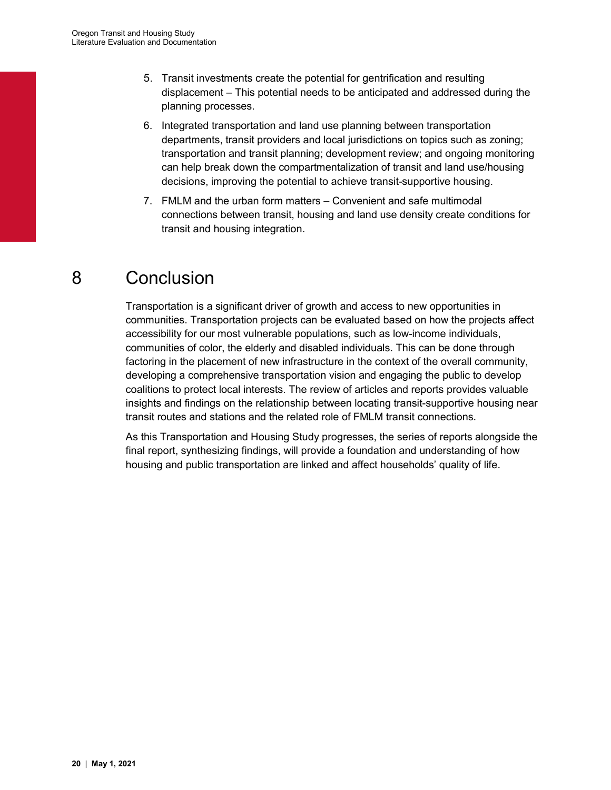- 5. Transit investments create the potential for gentrification and resulting displacement – This potential needs to be anticipated and addressed during the planning processes.
- 6. Integrated transportation and land use planning between transportation departments, transit providers and local jurisdictions on topics such as zoning; transportation and transit planning; development review; and ongoing monitoring can help break down the compartmentalization of transit and land use/housing decisions, improving the potential to achieve transit-supportive housing.
- 7. FMLM and the urban form matters Convenient and safe multimodal connections between transit, housing and land use density create conditions for transit and housing integration.

# <span id="page-23-0"></span>8 Conclusion

Transportation is a significant driver of growth and access to new opportunities in communities. Transportation projects can be evaluated based on how the projects affect accessibility for our most vulnerable populations, such as low-income individuals, communities of color, the elderly and disabled individuals. This can be done through factoring in the placement of new infrastructure in the context of the overall community, developing a comprehensive transportation vision and engaging the public to develop coalitions to protect local interests. The review of articles and reports provides valuable insights and findings on the relationship between locating transit-supportive housing near transit routes and stations and the related role of FMLM transit connections.

As this Transportation and Housing Study progresses, the series of reports alongside the final report, synthesizing findings, will provide a foundation and understanding of how housing and public transportation are linked and affect households' quality of life.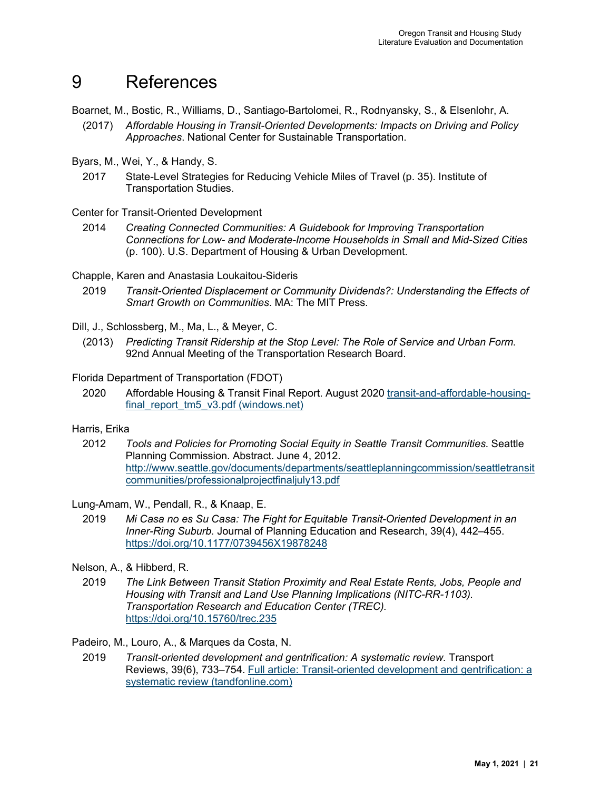# <span id="page-24-0"></span>9 References

Boarnet, M., Bostic, R., Williams, D., Santiago-Bartolomei, R., Rodnyansky, S., & Elsenlohr, A.

- (2017) *Affordable Housing in Transit-Oriented Developments: Impacts on Driving and Policy Approaches*. National Center for Sustainable Transportation.
- Byars, M., Wei, Y., & Handy, S.
	- 2017 State-Level Strategies for Reducing Vehicle Miles of Travel (p. 35). Institute of Transportation Studies.

Center for Transit-Oriented Development

- 2014 *Creating Connected Communities: A Guidebook for Improving Transportation Connections for Low- and Moderate-Income Households in Small and Mid-Sized Cities*  (p. 100). U.S. Department of Housing & Urban Development.
- Chapple, Karen and Anastasia Loukaitou-Sideris
	- 2019 *Transit-Oriented Displacement or Community Dividends?: Understanding the Effects of Smart Growth on Communities*. MA: The MIT Press.
- Dill, J., Schlossberg, M., Ma, L., & Meyer, C.
	- (2013) *Predicting Transit Ridership at the Stop Level: The Role of Service and Urban Form*. 92nd Annual Meeting of the Transportation Research Board.
- Florida Department of Transportation (FDOT)
	- 2020 Affordable Housing & Transit Final Report. August 2020 [transit-and-affordable-housing](https://fdotwww.blob.core.windows.net/sitefinity/docs/default-source/transit/documents/transit-and-affordable-housing-final_report_tm5_v3.pdf?sfvrsn=5240a292_2)[final\\_report\\_tm5\\_v3.pdf \(windows.net\)](https://fdotwww.blob.core.windows.net/sitefinity/docs/default-source/transit/documents/transit-and-affordable-housing-final_report_tm5_v3.pdf?sfvrsn=5240a292_2)

#### Harris, Erika

2012 *Tools and Policies for Promoting Social Equity in Seattle Transit Communities.* Seattle Planning Commission. Abstract. June 4, 2012. [http://www.seattle.gov/documents/departments/seattleplanningcommission/seattletransit](http://www.seattle.gov/documents/departments/seattleplanningcommission/seattletransitcommunities/professionalprojectfinaljuly13.pdf) [communities/professionalprojectfinaljuly13.pdf](http://www.seattle.gov/documents/departments/seattleplanningcommission/seattletransitcommunities/professionalprojectfinaljuly13.pdf)

Lung-Amam, W., Pendall, R., & Knaap, E.

- 2019 *Mi Casa no es Su Casa: The Fight for Equitable Transit-Oriented Development in an Inner-Ring Suburb.* Journal of Planning Education and Research, 39(4), 442–455. <https://doi.org/10.1177/0739456X19878248>
- Nelson, A., & Hibberd, R.
	- 2019 *The Link Between Transit Station Proximity and Real Estate Rents, Jobs, People and Housing with Transit and Land Use Planning Implications (NITC-RR-1103). Transportation Research and Education Center (TREC).* <https://doi.org/10.15760/trec.235>

Padeiro, M., Louro, A., & Marques da Costa, N.

2019 *Transit-oriented development and gentrification: A systematic review.* Transport Reviews, 39(6), 733–754. [Full article: Transit-oriented development and gentrification: a](https://www.tandfonline.com/doi/full/10.1080/01441647.2019.1649316)  [systematic review \(tandfonline.com\)](https://www.tandfonline.com/doi/full/10.1080/01441647.2019.1649316)